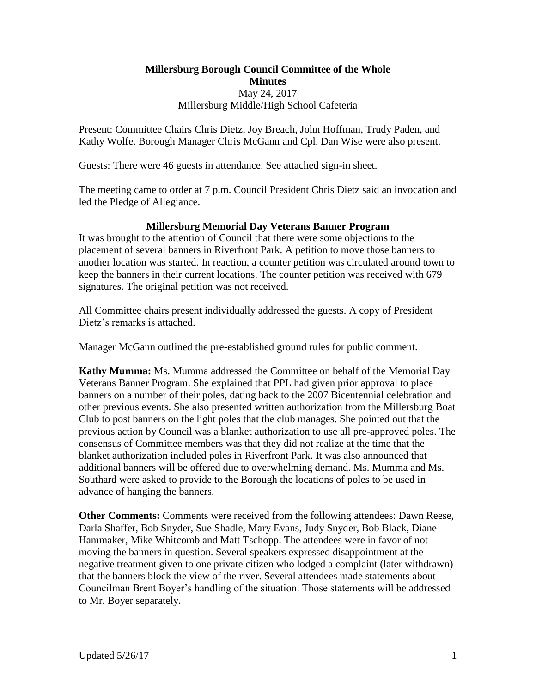**Millersburg Borough Council Committee of the Whole Minutes** May 24, 2017 Millersburg Middle/High School Cafeteria

Present: Committee Chairs Chris Dietz, Joy Breach, John Hoffman, Trudy Paden, and Kathy Wolfe. Borough Manager Chris McGann and Cpl. Dan Wise were also present.

Guests: There were 46 guests in attendance. See attached sign-in sheet.

The meeting came to order at 7 p.m. Council President Chris Dietz said an invocation and led the Pledge of Allegiance.

## **Millersburg Memorial Day Veterans Banner Program**

It was brought to the attention of Council that there were some objections to the placement of several banners in Riverfront Park. A petition to move those banners to another location was started. In reaction, a counter petition was circulated around town to keep the banners in their current locations. The counter petition was received with 679 signatures. The original petition was not received.

All Committee chairs present individually addressed the guests. A copy of President Dietz's remarks is attached.

Manager McGann outlined the pre-established ground rules for public comment.

**Kathy Mumma:** Ms. Mumma addressed the Committee on behalf of the Memorial Day Veterans Banner Program. She explained that PPL had given prior approval to place banners on a number of their poles, dating back to the 2007 Bicentennial celebration and other previous events. She also presented written authorization from the Millersburg Boat Club to post banners on the light poles that the club manages. She pointed out that the previous action by Council was a blanket authorization to use all pre-approved poles. The consensus of Committee members was that they did not realize at the time that the blanket authorization included poles in Riverfront Park. It was also announced that additional banners will be offered due to overwhelming demand. Ms. Mumma and Ms. Southard were asked to provide to the Borough the locations of poles to be used in advance of hanging the banners.

**Other Comments:** Comments were received from the following attendees: Dawn Reese, Darla Shaffer, Bob Snyder, Sue Shadle, Mary Evans, Judy Snyder, Bob Black, Diane Hammaker, Mike Whitcomb and Matt Tschopp. The attendees were in favor of not moving the banners in question. Several speakers expressed disappointment at the negative treatment given to one private citizen who lodged a complaint (later withdrawn) that the banners block the view of the river. Several attendees made statements about Councilman Brent Boyer's handling of the situation. Those statements will be addressed to Mr. Boyer separately.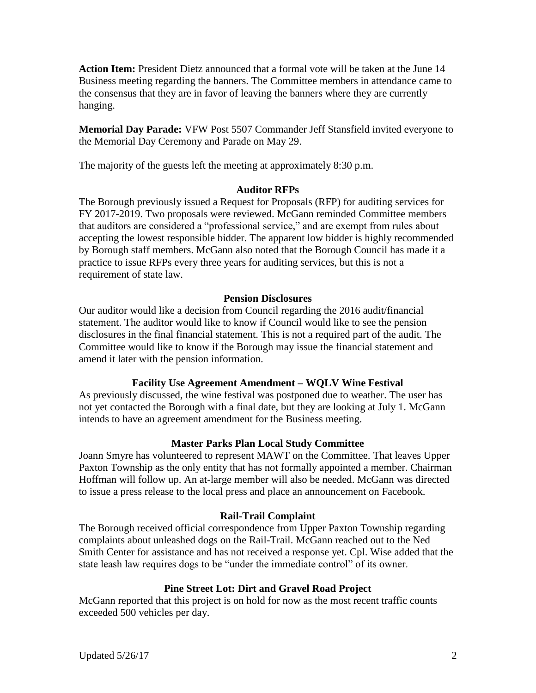**Action Item:** President Dietz announced that a formal vote will be taken at the June 14 Business meeting regarding the banners. The Committee members in attendance came to the consensus that they are in favor of leaving the banners where they are currently hanging.

**Memorial Day Parade:** VFW Post 5507 Commander Jeff Stansfield invited everyone to the Memorial Day Ceremony and Parade on May 29.

The majority of the guests left the meeting at approximately 8:30 p.m.

# **Auditor RFPs**

The Borough previously issued a Request for Proposals (RFP) for auditing services for FY 2017-2019. Two proposals were reviewed. McGann reminded Committee members that auditors are considered a "professional service," and are exempt from rules about accepting the lowest responsible bidder. The apparent low bidder is highly recommended by Borough staff members. McGann also noted that the Borough Council has made it a practice to issue RFPs every three years for auditing services, but this is not a requirement of state law.

## **Pension Disclosures**

Our auditor would like a decision from Council regarding the 2016 audit/financial statement. The auditor would like to know if Council would like to see the pension disclosures in the final financial statement. This is not a required part of the audit. The Committee would like to know if the Borough may issue the financial statement and amend it later with the pension information.

# **Facility Use Agreement Amendment – WQLV Wine Festival**

As previously discussed, the wine festival was postponed due to weather. The user has not yet contacted the Borough with a final date, but they are looking at July 1. McGann intends to have an agreement amendment for the Business meeting.

# **Master Parks Plan Local Study Committee**

Joann Smyre has volunteered to represent MAWT on the Committee. That leaves Upper Paxton Township as the only entity that has not formally appointed a member. Chairman Hoffman will follow up. An at-large member will also be needed. McGann was directed to issue a press release to the local press and place an announcement on Facebook.

## **Rail-Trail Complaint**

The Borough received official correspondence from Upper Paxton Township regarding complaints about unleashed dogs on the Rail-Trail. McGann reached out to the Ned Smith Center for assistance and has not received a response yet. Cpl. Wise added that the state leash law requires dogs to be "under the immediate control" of its owner.

## **Pine Street Lot: Dirt and Gravel Road Project**

McGann reported that this project is on hold for now as the most recent traffic counts exceeded 500 vehicles per day.